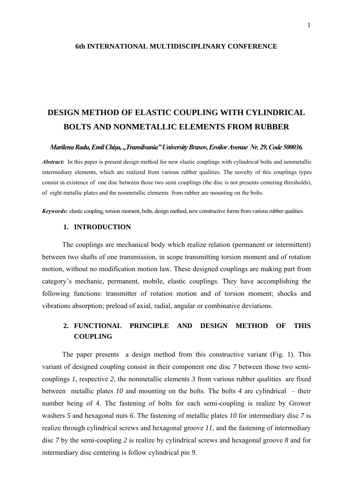#### **6th INTERNATIONAL MULTIDISCIPLINARY CONFERENCE**

# **DESIGN METHOD OF ELASTIC COUPLING WITH CYLINDRICAL BOLTS AND NONMETALLIC ELEMENTS FROM RUBBER**

#### *Marilena Radu, Emil Chişu, "Transilvania" University Brasov, Eroilor Avenue Nr. 29, Code 500036.*

*Abstract:* In this paper is present design method for new elastic couplings with cylindrical bolts and nonmetallic intermediary elements, which are realized from various rubber qualities. The novelty of this couplings types consist in existence of one disc between those two semi couplings (the disc is not presents centering thresholds), of eight metallic plates and the nonmetallic elements from rubber are mounting on the bolts.

*Keywords:* elastic coupling, torsion moment, bolts, design method, new constructive forms from various rubber qualities.

### **1. INTRODUCTION**

The couplings are mechanical body which realize relation (permanent or intermittent) between two shafts of one transmission, in scope transmitting torsion moment and of rotation motion, without no modification motion law. These designed couplings are making part from category's mechanic, permanent, mobile, elastic couplings. They have accomplishing the following functions: transmitter of rotation motion and of torsion moment; shocks and vibrations absorption; preload of axial, radial, angular or combinative deviations.

## **2. FUNCTIONAL PRINCIPLE AND DESIGN METHOD OF THIS COUPLING**

The paper presents a design method from this constructive variant (Fig. 1). This variant of designed coupling consist in their component one disc *7* between those two semicouplings *1*, respective *2*, the nonmetallic elements *3* from various rubber qualities are fixed between metallic plates *10* and mounting on the bolts. The bolts *4* are cylindrical – their number being of 4. The fastening of bolts for each semi-coupling is realize by Grower washers *5* and hexagonal nuts *6*. The fastening of metallic plates *10* for intermediary disc *7* is realize through cylindrical screws and hexagonal groove *11*, and the fastening of intermediary disc *7* by the semi-coupling *2* is realize by cylindrical screws and hexagonal groove *8* and for intermediary disc centering is follow cylindrical pin *9*.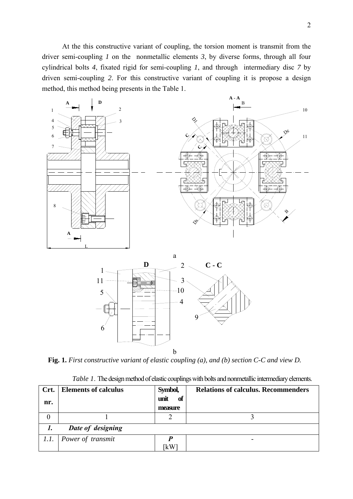At the this constructive variant of coupling, the torsion moment is transmit from the driver semi-coupling *1* on the nonmetallic elements *3*, by diverse forms, through all four cylindrical bolts *4*, fixated rigid for semi-coupling *1*, and through intermediary disc *7* by driven semi-coupling *2*. For this constructive variant of coupling it is propose a design method, this method being presents in the Table 1.





**Fig. 1.** *First constructive variant of elastic coupling (a), and (b) section C-C and view D.*

|  |  | Table 1. The design method of elastic couplings with bolts and nonmetallic intermediary elements. |
|--|--|---------------------------------------------------------------------------------------------------|
|  |  |                                                                                                   |

| Crt.<br>nr. | <b>Elements of calculus</b> | Symbol,<br>unit<br>of<br>measure | <b>Relations of calculus. Recommenders</b> |
|-------------|-----------------------------|----------------------------------|--------------------------------------------|
| O           |                             |                                  |                                            |
|             | Date of designing           |                                  |                                            |
| 1.1.        | Power of transmit           | ⊺kW                              |                                            |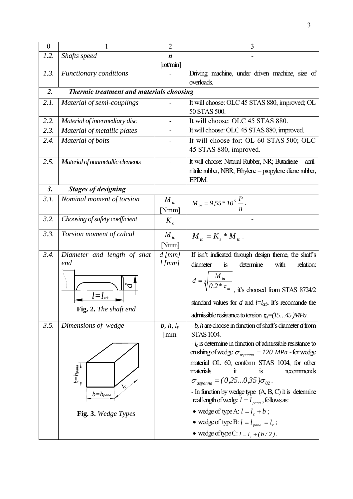| $\boldsymbol{0}$ |                                                         | $\overline{2}$           | 3                                                                                                                                                                                                                                                                                                                                                                                                                                                                                                                                                                      |
|------------------|---------------------------------------------------------|--------------------------|------------------------------------------------------------------------------------------------------------------------------------------------------------------------------------------------------------------------------------------------------------------------------------------------------------------------------------------------------------------------------------------------------------------------------------------------------------------------------------------------------------------------------------------------------------------------|
| 1.2.             | Shafts speed                                            | $\boldsymbol{n}$         |                                                                                                                                                                                                                                                                                                                                                                                                                                                                                                                                                                        |
|                  |                                                         | [rot/min]                |                                                                                                                                                                                                                                                                                                                                                                                                                                                                                                                                                                        |
| 1.3.             | <b>Functionary conditions</b>                           |                          | Driving machine, under driven machine, size of                                                                                                                                                                                                                                                                                                                                                                                                                                                                                                                         |
|                  |                                                         |                          | overloads.                                                                                                                                                                                                                                                                                                                                                                                                                                                                                                                                                             |
| 2.               | Thermic treatment and materials choosing                |                          |                                                                                                                                                                                                                                                                                                                                                                                                                                                                                                                                                                        |
| 2.1.             | Material of semi-couplings                              |                          | It will choose: OLC 45 STAS 880, improved; OL<br>50 STAS 500.                                                                                                                                                                                                                                                                                                                                                                                                                                                                                                          |
| 2.2.             | Material of intermediary disc                           | $\overline{\phantom{0}}$ | It will choose: OLC 45 STAS 880.                                                                                                                                                                                                                                                                                                                                                                                                                                                                                                                                       |
| 2.3.             | Material of metallic plates                             |                          | It will choose: OLC 45 STAS 880, improved.                                                                                                                                                                                                                                                                                                                                                                                                                                                                                                                             |
| 2.4.             | Material of bolts                                       |                          | It will choose for: OL 60 STAS 500; OLC<br>45 STAS 880, improved.                                                                                                                                                                                                                                                                                                                                                                                                                                                                                                      |
| 2.5.             | Material of nonmetallic elements                        |                          | It will choose: Natural Rubber, NR; Butadiene - acril-<br>nitrile rubber, NBR; Ethylene – propylene diene rubber,<br>EPDM.                                                                                                                                                                                                                                                                                                                                                                                                                                             |
| 3.               | <b>Stages of designing</b>                              |                          |                                                                                                                                                                                                                                                                                                                                                                                                                                                                                                                                                                        |
| 3.1.             | Nominal moment of torsion                               | $M_{t_n}$<br>[Nmm]       | $M_{m} = 9.55 * 10^{6} \frac{P}{n}.$                                                                                                                                                                                                                                                                                                                                                                                                                                                                                                                                   |
| 3.2.             | Choosing of safety coefficient                          | $K_{s}$                  |                                                                                                                                                                                                                                                                                                                                                                                                                                                                                                                                                                        |
| 3.3.             | Torsion moment of calcul                                | $M_{tc}$<br>[Nmm]        | $M_{tc} = K_s * M_{tn}$ .                                                                                                                                                                                                                                                                                                                                                                                                                                                                                                                                              |
| 3.4.             | Diameter and length of shat                             | $d$ [ $mm$ ]             | If isn't indicated through design theme, the shaft's                                                                                                                                                                                                                                                                                                                                                                                                                                                                                                                   |
|                  | end                                                     | $l$ [ $mm$ ]             | diameter<br>determine<br>with<br>relation:<br>is                                                                                                                                                                                                                                                                                                                                                                                                                                                                                                                       |
|                  | <b>Fig. 2.</b> The shaft end                            |                          | $d = \sqrt[3]{\frac{M_m}{0.2 * \tau_{at}}}$ , it's choosed from STAS 8724/2<br>standard values for d and $l=l_{ab}$ . It's recomande the<br>admissible resistance to torsion $\tau_{\alpha} = (1545)MPa$ .                                                                                                                                                                                                                                                                                                                                                             |
| 3.5.             | Dimensions of wedge                                     | $b, h, l_p$              | $-b$ , h are choose in function of shaft's diameter $d$ from                                                                                                                                                                                                                                                                                                                                                                                                                                                                                                           |
|                  | $h{=}h_{para}$<br>$b = b_{pana}$<br>Fig. 3. Wedge Types | $\lceil mm \rceil$       | <b>STAS 1004.</b><br>$-l_c$ is determine in function of admissible resistance to<br>crushing of wedge $\sigma_{\text{aspanna}} = 120 \text{ MPa}$ - for wedge<br>material OL 60, conform STAS 1004, for other<br>materials<br>recommends<br>it<br>$\overline{1}S$<br>$\sigma_{\text{aspanna}} = (0.250.35) \sigma_{02}$ .<br>- In function by wedge type $(A, B, C)$ it is determine<br>real length of wedge $l = l_{para}$ , follows as:<br>• wedge of type A: $l = l_c + b$ ;<br>• wedge of type B: $l = l_{pana} = l_c$ ;<br>• wedge of type C: $l = l_c + (b/2)$ . |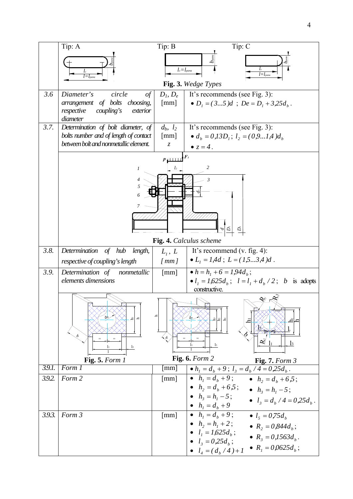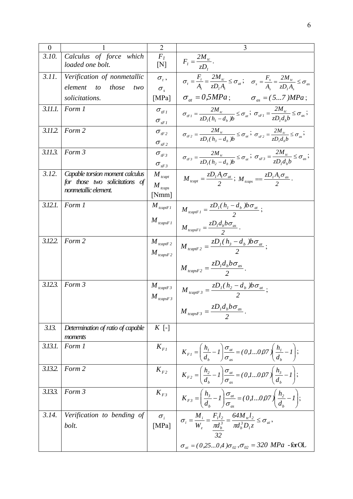| $\overline{0}$ |                                                                                           | $\overline{2}$                             | 3                                                                                                                                                                                                                                                                                                                                                                                                                                                                                                                                                 |
|----------------|-------------------------------------------------------------------------------------------|--------------------------------------------|---------------------------------------------------------------------------------------------------------------------------------------------------------------------------------------------------------------------------------------------------------------------------------------------------------------------------------------------------------------------------------------------------------------------------------------------------------------------------------------------------------------------------------------------------|
| 3.10.          | Calculus of force which<br>loaded one bolt.                                               | $\overline{F_I}$<br>[N]                    | $F_i = \frac{2M_{ic}}{zD_i}.$                                                                                                                                                                                                                                                                                                                                                                                                                                                                                                                     |
| 3.11.          | Verification of nonmetallic<br>element<br>those<br>$\omega$<br>two                        | $\sigma_{\iota}$ ,<br>$\sigma_{\rm s}$     | $\sigma_t = \frac{F_t}{A} = \frac{2M_{tc}}{7D.A} \leq \sigma_{at}; \quad \sigma_s = \frac{F_s}{A} = \frac{2M_{tc}}{zD.A_s} \leq \sigma_{as}$                                                                                                                                                                                                                                                                                                                                                                                                      |
|                | solicitations.                                                                            | [MPa]                                      | $\sigma_{at} = 0.5 MPa$ ; $\sigma_{as} = (57) MPa$ ;                                                                                                                                                                                                                                                                                                                                                                                                                                                                                              |
| 3.11.1.        | Form 1                                                                                    | $\sigma_{_{tFI}}$<br>$\sigma_{_{sFI}}$     | $\sigma_{\iota Fl} = \frac{2M_{\iota c}}{zD_{\iota}(h_{\iota} - d_{\iota})b} \leq \sigma_{ai}; \ \sigma_{sFl} = \frac{2M_{\iota c}}{zD_{\iota}d_{\iota}b} \leq \sigma_{as};$                                                                                                                                                                                                                                                                                                                                                                      |
| 3.11.2.        | Form 2                                                                                    | $\sigma_{_{tF2}}$<br>$\sigma_{_{SF2}}$     | $\sigma_{iF2} = \frac{2M_{ic}}{zD_{i}(h_{i}-d_{i})b} \leq \sigma_{ai}$ ; $\sigma_{sF2} = \frac{2M_{ic}}{zD_{i}(h_{i})} \leq \sigma_{ai}$                                                                                                                                                                                                                                                                                                                                                                                                          |
| 3.11.3.        | Form 3                                                                                    | $\sigma_{tF3}$<br>$\sigma_{_{sF3}}$        | $\sigma_{\iota F3} = \frac{2M_{\iota c}}{zD_{\iota}(h_{\iota} - d_{\iota})b} \leq \sigma_{\iota a}; \; \sigma_{sF3} = \frac{2M_{\iota c}}{zD_{\iota}d_{\iota}b} \leq \sigma_{\iota a};$                                                                                                                                                                                                                                                                                                                                                           |
| 3.12.          | Capable torsion moment calculus<br>for those two solicitations of<br>nonmetallic element. | $M_{teapt}$<br>$M_{\text{teaps}}$<br>[Nmm] | $M_{teapt} = \frac{zD_1A_t\sigma_{at}}{2}; M_{teaps} = \frac{zD_1A_s\sigma_{as}}{2}.$                                                                                                                                                                                                                                                                                                                                                                                                                                                             |
| 3.12.1.        | Form 1                                                                                    | $M$ <sub>tcaptF1</sub><br>$M_{tcapsF1}$    | $M_{teaptF1} = \frac{zD_1(h_1 - d_b) b\sigma_{at}}{2};$<br>$M_{tcapsFI} = \frac{zD_l d_b b \sigma_{as}}{2}$ .                                                                                                                                                                                                                                                                                                                                                                                                                                     |
| 3.12.2.        | Form 2                                                                                    | $M$ <sub>tcaptF</sub> 2<br>$M_{tcapsF2}$   | $M_{teaptF2} = \frac{zD_1(h_3 - d_b) b\sigma_{at}}{2};$<br>$M_{tcapsF2} = \frac{zD_{I}d_{b}b\sigma_{as}}{2}.$                                                                                                                                                                                                                                                                                                                                                                                                                                     |
| 3.12.3.        | Form 3                                                                                    | $M$ <sub>tcaptF</sub> 3<br>$M_{tcapsF3}$   | $M_{teaptF3} = \frac{zD_1(h_2 - d_b) b\sigma_{at}}{2};$<br>$M_{tcapsF3} = \frac{zD_1d_b b\sigma_{as}}{2}$                                                                                                                                                                                                                                                                                                                                                                                                                                         |
| 3.13.          | Determination of ratio of capable<br>moments                                              | $K[\text{-}]$                              |                                                                                                                                                                                                                                                                                                                                                                                                                                                                                                                                                   |
| 3.13.1.        | Form 1                                                                                    |                                            | $\begin{array}{c} K_{F1} \\ \end{array} \begin{array}{c} \begin{array}{c} \end{array} \\ \end{array} \begin{array}{c} \end{array} \begin{array}{c} \begin{array}{c} \end{array} \\ \begin{array}{c} \end{array} \begin{array}{c} \end{array} \begin{array}{c} \end{array} \begin{array}{c} \end{array} \begin{array}{c} \end{array} \begin{array}{c} \end{array} \begin{array}{c} \end{array} \begin{array}{c} \end{array} \begin{array}{c} \end{array} \begin{array}{c} \end{array} \begin{array}{c} \end{array} \begin{array}{c} \end{array} \$ |
| 3.13.2.        | Form 2                                                                                    |                                            | $K_{F2}$ $K_{F2} = \left(\frac{h_2}{d_1} - 1\right) \frac{\sigma_{at}}{\sigma_{ac}} = (0,10,07) \left(\frac{h_3}{d_b} - 1\right);$                                                                                                                                                                                                                                                                                                                                                                                                                |
| 3.13.3.        | Form 3                                                                                    |                                            | $\begin{array}{c}\nK_{F3} \\ \end{array}\n\left \n\begin{array}{c}\nK_{F3} \\ \end{array}\right. =\n\left(\frac{h_3}{d_b} - I\right)\frac{\sigma_{at}}{\sigma_{as}} = (0, 1, \ldots, 0, 0, 0)\left(\frac{h_2}{d_b} - I\right);$                                                                                                                                                                                                                                                                                                                   |
| 3.14.          | Verification to bending of<br>bolt.                                                       |                                            | $\begin{array}{c} \sigma_i \\ \mathrm{[MPa]} \end{array} \left  \begin{array}{c} \sigma_i = \frac{M_i}{W_z} = \frac{F_i l_2}{\pi d_b^3} = \frac{64 M_{ic} l_2}{\pi d_b^3 D_i z} \leq \sigma_{ai} \, , \end{array} \right. \label{eq:11}$<br>$\sigma_{ai} = (0.250.4) \sigma_{02}, \sigma_{02} = 320$ MPa -forOL                                                                                                                                                                                                                                   |